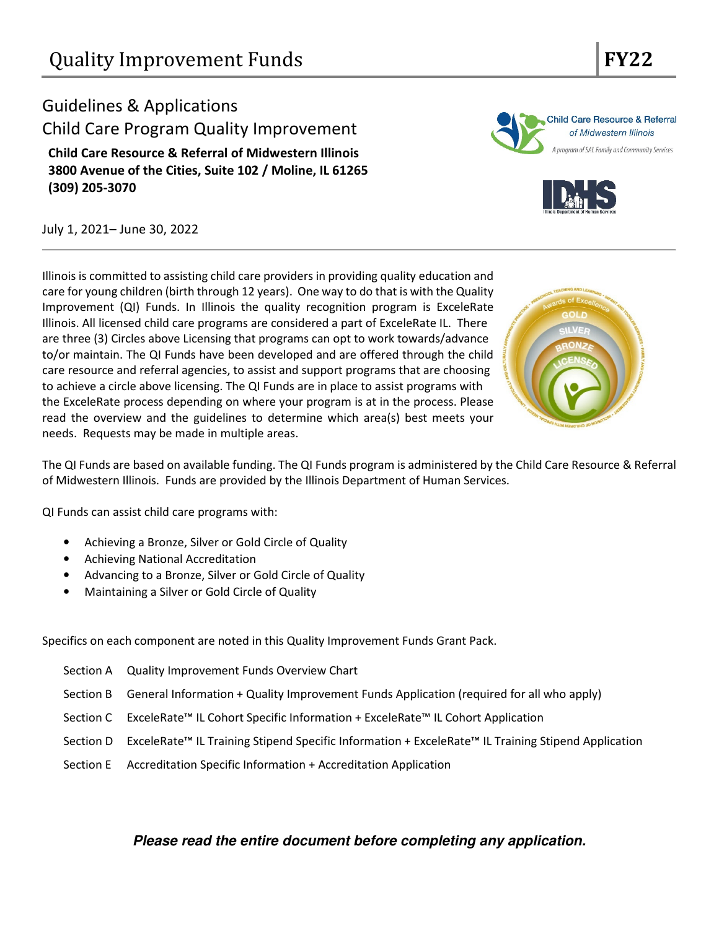## Guidelines & Applications Child Care Program Quality Improvement Child Care Resource & Referral of Midwestern Illinois 3800 Avenue of the Cities, Suite 102 / Moline, IL 61265 (309) 205-3070

July 1, 2021– June 30, 2022

Illinois is committed to assisting child care providers in providing quality education and care for young children (birth through 12 years). One way to do that is with the Quality Improvement (QI) Funds. In Illinois the quality recognition program is ExceleRate Illinois. All licensed child care programs are considered a part of ExceleRate IL. There are three (3) Circles above Licensing that programs can opt to work towards/advance to/or maintain. The QI Funds have been developed and are offered through the child care resource and referral agencies, to assist and support programs that are choosing to achieve a circle above licensing. The QI Funds are in place to assist programs with the ExceleRate process depending on where your program is at in the process. Please read the overview and the guidelines to determine which area(s) best meets your needs. Requests may be made in multiple areas.

The QI Funds are based on available funding. The QI Funds program is administered by the Child Care Resource & Referral of Midwestern Illinois. Funds are provided by the Illinois Department of Human Services.

QI Funds can assist child care programs with:

- Achieving a Bronze, Silver or Gold Circle of Quality
- Achieving National Accreditation
- Advancing to a Bronze, Silver or Gold Circle of Quality
- Maintaining a Silver or Gold Circle of Quality

Specifics on each component are noted in this Quality Improvement Funds Grant Pack.

- Section A Quality Improvement Funds Overview Chart
- Section B General Information + Quality Improvement Funds Application (required for all who apply)
- Section C ExceleRate™ IL Cohort Specific Information + ExceleRate™ IL Cohort Application
- Section D ExceleRate™ IL Training Stipend Specific Information + ExceleRate™ IL Training Stipend Application
- Section E Accreditation Specific Information + Accreditation Application

### **Please read the entire document before completing any application.**







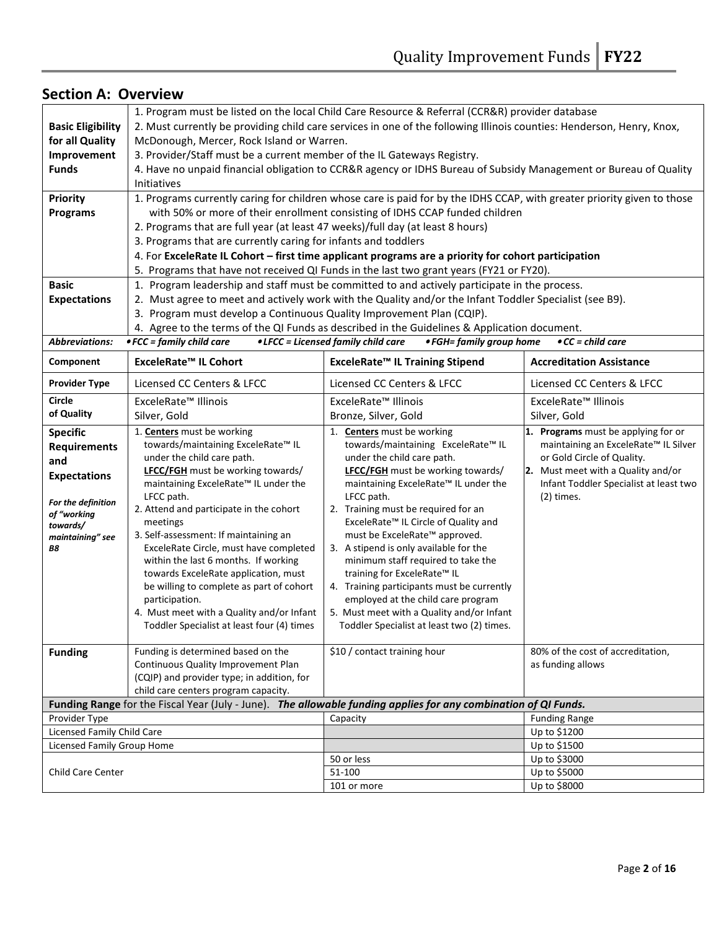|                                                                                                                                                                   | 1. Program must be listed on the local Child Care Resource & Referral (CCR&R) provider database                                                                                                                                                                                                                                                                                                                                                                                                                                                                                                                                                                       |                                                                                                                                                                                                                                                                                                                                                                                                                                                                                                                                                                                                                                                                        |                                                                                                                                                                                                                                                                     |  |  |  |  |  |  |
|-------------------------------------------------------------------------------------------------------------------------------------------------------------------|-----------------------------------------------------------------------------------------------------------------------------------------------------------------------------------------------------------------------------------------------------------------------------------------------------------------------------------------------------------------------------------------------------------------------------------------------------------------------------------------------------------------------------------------------------------------------------------------------------------------------------------------------------------------------|------------------------------------------------------------------------------------------------------------------------------------------------------------------------------------------------------------------------------------------------------------------------------------------------------------------------------------------------------------------------------------------------------------------------------------------------------------------------------------------------------------------------------------------------------------------------------------------------------------------------------------------------------------------------|---------------------------------------------------------------------------------------------------------------------------------------------------------------------------------------------------------------------------------------------------------------------|--|--|--|--|--|--|
| <b>Basic Eligibility</b>                                                                                                                                          | 2. Must currently be providing child care services in one of the following Illinois counties: Henderson, Henry, Knox,                                                                                                                                                                                                                                                                                                                                                                                                                                                                                                                                                 |                                                                                                                                                                                                                                                                                                                                                                                                                                                                                                                                                                                                                                                                        |                                                                                                                                                                                                                                                                     |  |  |  |  |  |  |
| for all Quality                                                                                                                                                   | McDonough, Mercer, Rock Island or Warren.                                                                                                                                                                                                                                                                                                                                                                                                                                                                                                                                                                                                                             |                                                                                                                                                                                                                                                                                                                                                                                                                                                                                                                                                                                                                                                                        |                                                                                                                                                                                                                                                                     |  |  |  |  |  |  |
| Improvement                                                                                                                                                       | 3. Provider/Staff must be a current member of the IL Gateways Registry.                                                                                                                                                                                                                                                                                                                                                                                                                                                                                                                                                                                               |                                                                                                                                                                                                                                                                                                                                                                                                                                                                                                                                                                                                                                                                        |                                                                                                                                                                                                                                                                     |  |  |  |  |  |  |
| <b>Funds</b>                                                                                                                                                      |                                                                                                                                                                                                                                                                                                                                                                                                                                                                                                                                                                                                                                                                       | 4. Have no unpaid financial obligation to CCR&R agency or IDHS Bureau of Subsidy Management or Bureau of Quality                                                                                                                                                                                                                                                                                                                                                                                                                                                                                                                                                       |                                                                                                                                                                                                                                                                     |  |  |  |  |  |  |
|                                                                                                                                                                   | Initiatives                                                                                                                                                                                                                                                                                                                                                                                                                                                                                                                                                                                                                                                           |                                                                                                                                                                                                                                                                                                                                                                                                                                                                                                                                                                                                                                                                        |                                                                                                                                                                                                                                                                     |  |  |  |  |  |  |
| <b>Priority</b>                                                                                                                                                   |                                                                                                                                                                                                                                                                                                                                                                                                                                                                                                                                                                                                                                                                       | 1. Programs currently caring for children whose care is paid for by the IDHS CCAP, with greater priority given to those                                                                                                                                                                                                                                                                                                                                                                                                                                                                                                                                                |                                                                                                                                                                                                                                                                     |  |  |  |  |  |  |
| <b>Programs</b>                                                                                                                                                   | with 50% or more of their enrollment consisting of IDHS CCAP funded children                                                                                                                                                                                                                                                                                                                                                                                                                                                                                                                                                                                          |                                                                                                                                                                                                                                                                                                                                                                                                                                                                                                                                                                                                                                                                        |                                                                                                                                                                                                                                                                     |  |  |  |  |  |  |
|                                                                                                                                                                   | 2. Programs that are full year (at least 47 weeks)/full day (at least 8 hours)                                                                                                                                                                                                                                                                                                                                                                                                                                                                                                                                                                                        |                                                                                                                                                                                                                                                                                                                                                                                                                                                                                                                                                                                                                                                                        |                                                                                                                                                                                                                                                                     |  |  |  |  |  |  |
|                                                                                                                                                                   | 3. Programs that are currently caring for infants and toddlers                                                                                                                                                                                                                                                                                                                                                                                                                                                                                                                                                                                                        |                                                                                                                                                                                                                                                                                                                                                                                                                                                                                                                                                                                                                                                                        |                                                                                                                                                                                                                                                                     |  |  |  |  |  |  |
|                                                                                                                                                                   |                                                                                                                                                                                                                                                                                                                                                                                                                                                                                                                                                                                                                                                                       | 4. For ExceleRate IL Cohort - first time applicant programs are a priority for cohort participation                                                                                                                                                                                                                                                                                                                                                                                                                                                                                                                                                                    |                                                                                                                                                                                                                                                                     |  |  |  |  |  |  |
|                                                                                                                                                                   |                                                                                                                                                                                                                                                                                                                                                                                                                                                                                                                                                                                                                                                                       | 5. Programs that have not received QI Funds in the last two grant years (FY21 or FY20).                                                                                                                                                                                                                                                                                                                                                                                                                                                                                                                                                                                |                                                                                                                                                                                                                                                                     |  |  |  |  |  |  |
| <b>Basic</b>                                                                                                                                                      |                                                                                                                                                                                                                                                                                                                                                                                                                                                                                                                                                                                                                                                                       | 1. Program leadership and staff must be committed to and actively participate in the process.                                                                                                                                                                                                                                                                                                                                                                                                                                                                                                                                                                          |                                                                                                                                                                                                                                                                     |  |  |  |  |  |  |
| <b>Expectations</b>                                                                                                                                               |                                                                                                                                                                                                                                                                                                                                                                                                                                                                                                                                                                                                                                                                       | 2. Must agree to meet and actively work with the Quality and/or the Infant Toddler Specialist (see B9).                                                                                                                                                                                                                                                                                                                                                                                                                                                                                                                                                                |                                                                                                                                                                                                                                                                     |  |  |  |  |  |  |
|                                                                                                                                                                   | 3. Program must develop a Continuous Quality Improvement Plan (CQIP).                                                                                                                                                                                                                                                                                                                                                                                                                                                                                                                                                                                                 |                                                                                                                                                                                                                                                                                                                                                                                                                                                                                                                                                                                                                                                                        |                                                                                                                                                                                                                                                                     |  |  |  |  |  |  |
|                                                                                                                                                                   |                                                                                                                                                                                                                                                                                                                                                                                                                                                                                                                                                                                                                                                                       | 4. Agree to the terms of the QI Funds as described in the Guidelines & Application document.                                                                                                                                                                                                                                                                                                                                                                                                                                                                                                                                                                           |                                                                                                                                                                                                                                                                     |  |  |  |  |  |  |
| <b>Abbreviations:</b>                                                                                                                                             | $\bullet$ FCC = family child care                                                                                                                                                                                                                                                                                                                                                                                                                                                                                                                                                                                                                                     | • LFCC = Licensed family child care<br>• FGH= family group home                                                                                                                                                                                                                                                                                                                                                                                                                                                                                                                                                                                                        | $\bullet$ CC = child care                                                                                                                                                                                                                                           |  |  |  |  |  |  |
|                                                                                                                                                                   |                                                                                                                                                                                                                                                                                                                                                                                                                                                                                                                                                                                                                                                                       |                                                                                                                                                                                                                                                                                                                                                                                                                                                                                                                                                                                                                                                                        |                                                                                                                                                                                                                                                                     |  |  |  |  |  |  |
| Component                                                                                                                                                         | ExceleRate™ IL Cohort                                                                                                                                                                                                                                                                                                                                                                                                                                                                                                                                                                                                                                                 | ExceleRate™ IL Training Stipend                                                                                                                                                                                                                                                                                                                                                                                                                                                                                                                                                                                                                                        | <b>Accreditation Assistance</b>                                                                                                                                                                                                                                     |  |  |  |  |  |  |
| <b>Provider Type</b>                                                                                                                                              | Licensed CC Centers & LFCC                                                                                                                                                                                                                                                                                                                                                                                                                                                                                                                                                                                                                                            | Licensed CC Centers & LFCC                                                                                                                                                                                                                                                                                                                                                                                                                                                                                                                                                                                                                                             | Licensed CC Centers & LFCC                                                                                                                                                                                                                                          |  |  |  |  |  |  |
| <b>Circle</b>                                                                                                                                                     | ExceleRate™ Illinois                                                                                                                                                                                                                                                                                                                                                                                                                                                                                                                                                                                                                                                  | ExceleRate <sup>™</sup> Illinois                                                                                                                                                                                                                                                                                                                                                                                                                                                                                                                                                                                                                                       | ExceleRate <sup>™</sup> Illinois                                                                                                                                                                                                                                    |  |  |  |  |  |  |
| of Quality                                                                                                                                                        | Silver, Gold                                                                                                                                                                                                                                                                                                                                                                                                                                                                                                                                                                                                                                                          | Bronze, Silver, Gold                                                                                                                                                                                                                                                                                                                                                                                                                                                                                                                                                                                                                                                   | Silver, Gold                                                                                                                                                                                                                                                        |  |  |  |  |  |  |
| <b>Specific</b><br><b>Requirements</b><br>and<br><b>Expectations</b><br>For the definition<br>of "working<br>towards/<br>maintaining" see<br>Β8<br><b>Funding</b> | 1. Centers must be working<br>towards/maintaining ExceleRate™ IL<br>under the child care path.<br>LFCC/FGH must be working towards/<br>maintaining ExceleRate <sup>™</sup> IL under the<br>LFCC path.<br>2. Attend and participate in the cohort<br>meetings<br>3. Self-assessment: If maintaining an<br>ExceleRate Circle, must have completed<br>within the last 6 months. If working<br>towards ExceleRate application, must<br>be willing to complete as part of cohort<br>participation.<br>4. Must meet with a Quality and/or Infant<br>Toddler Specialist at least four (4) times<br>Funding is determined based on the<br>Continuous Quality Improvement Plan | 1. Centers must be working<br>towards/maintaining ExceleRate™ IL<br>under the child care path.<br><b>LFCC/FGH</b> must be working towards/<br>maintaining ExceleRate <sup>™</sup> IL under the<br>LFCC path.<br>2. Training must be required for an<br>ExceleRate <sup>™</sup> IL Circle of Quality and<br>must be ExceleRate™ approved.<br>3. A stipend is only available for the<br>minimum staff required to take the<br>training for ExceleRate™ IL<br>4. Training participants must be currently<br>employed at the child care program<br>5. Must meet with a Quality and/or Infant<br>Toddler Specialist at least two (2) times.<br>\$10 / contact training hour | 1. Programs must be applying for or<br>maintaining an ExceleRate™ IL Silver<br>or Gold Circle of Quality.<br>2. Must meet with a Quality and/or<br>Infant Toddler Specialist at least two<br>$(2)$ times.<br>80% of the cost of accreditation,<br>as funding allows |  |  |  |  |  |  |
|                                                                                                                                                                   |                                                                                                                                                                                                                                                                                                                                                                                                                                                                                                                                                                                                                                                                       |                                                                                                                                                                                                                                                                                                                                                                                                                                                                                                                                                                                                                                                                        |                                                                                                                                                                                                                                                                     |  |  |  |  |  |  |
|                                                                                                                                                                   | (CQIP) and provider type; in addition, for<br>child care centers program capacity.                                                                                                                                                                                                                                                                                                                                                                                                                                                                                                                                                                                    |                                                                                                                                                                                                                                                                                                                                                                                                                                                                                                                                                                                                                                                                        |                                                                                                                                                                                                                                                                     |  |  |  |  |  |  |
|                                                                                                                                                                   |                                                                                                                                                                                                                                                                                                                                                                                                                                                                                                                                                                                                                                                                       | Funding Range for the Fiscal Year (July - June). The allowable funding applies for any combination of QI Funds.                                                                                                                                                                                                                                                                                                                                                                                                                                                                                                                                                        |                                                                                                                                                                                                                                                                     |  |  |  |  |  |  |
| Provider Type                                                                                                                                                     |                                                                                                                                                                                                                                                                                                                                                                                                                                                                                                                                                                                                                                                                       | Capacity                                                                                                                                                                                                                                                                                                                                                                                                                                                                                                                                                                                                                                                               | <b>Funding Range</b>                                                                                                                                                                                                                                                |  |  |  |  |  |  |
| Licensed Family Child Care                                                                                                                                        |                                                                                                                                                                                                                                                                                                                                                                                                                                                                                                                                                                                                                                                                       |                                                                                                                                                                                                                                                                                                                                                                                                                                                                                                                                                                                                                                                                        | Up to \$1200                                                                                                                                                                                                                                                        |  |  |  |  |  |  |
| Licensed Family Group Home                                                                                                                                        |                                                                                                                                                                                                                                                                                                                                                                                                                                                                                                                                                                                                                                                                       |                                                                                                                                                                                                                                                                                                                                                                                                                                                                                                                                                                                                                                                                        | Up to \$1500                                                                                                                                                                                                                                                        |  |  |  |  |  |  |
|                                                                                                                                                                   |                                                                                                                                                                                                                                                                                                                                                                                                                                                                                                                                                                                                                                                                       | 50 or less                                                                                                                                                                                                                                                                                                                                                                                                                                                                                                                                                                                                                                                             | Up to \$3000                                                                                                                                                                                                                                                        |  |  |  |  |  |  |
| Child Care Center                                                                                                                                                 |                                                                                                                                                                                                                                                                                                                                                                                                                                                                                                                                                                                                                                                                       | 51-100                                                                                                                                                                                                                                                                                                                                                                                                                                                                                                                                                                                                                                                                 | Up to \$5000                                                                                                                                                                                                                                                        |  |  |  |  |  |  |
|                                                                                                                                                                   |                                                                                                                                                                                                                                                                                                                                                                                                                                                                                                                                                                                                                                                                       | 101 or more                                                                                                                                                                                                                                                                                                                                                                                                                                                                                                                                                                                                                                                            | Up to \$8000                                                                                                                                                                                                                                                        |  |  |  |  |  |  |
|                                                                                                                                                                   |                                                                                                                                                                                                                                                                                                                                                                                                                                                                                                                                                                                                                                                                       |                                                                                                                                                                                                                                                                                                                                                                                                                                                                                                                                                                                                                                                                        |                                                                                                                                                                                                                                                                     |  |  |  |  |  |  |

## Section A: Overview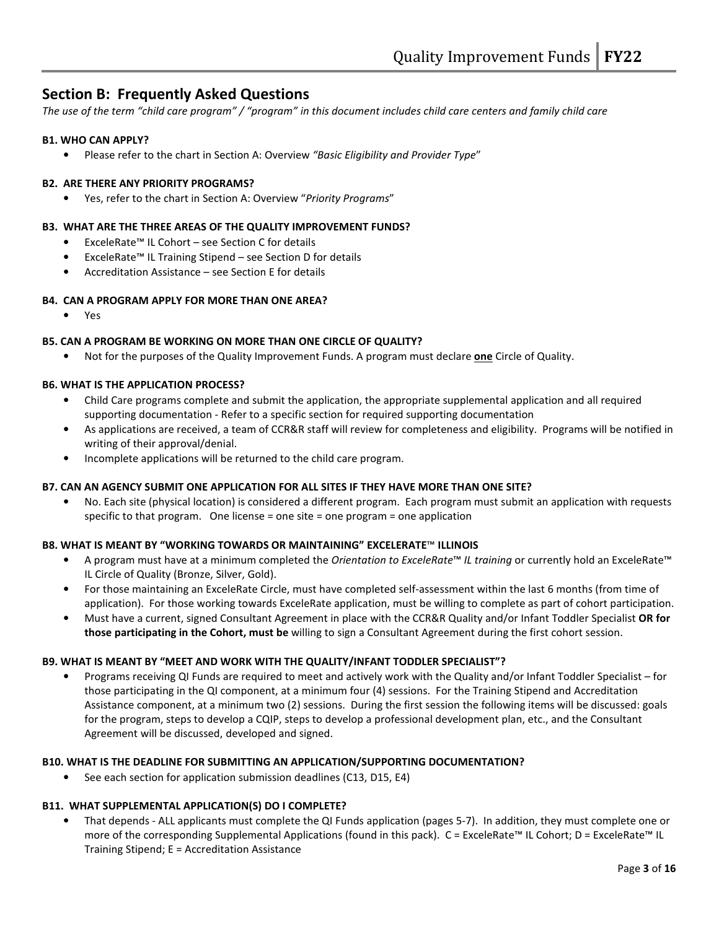## Section B: Frequently Asked Questions

The use of the term "child care program" / "program" in this document includes child care centers and family child care

#### B1. WHO CAN APPLY?

• Please refer to the chart in Section A: Overview "Basic Eligibility and Provider Type"

#### B2. ARE THERE ANY PRIORITY PROGRAMS?

Yes, refer to the chart in Section A: Overview "Priority Programs"

#### B3. WHAT ARE THE THREE AREAS OF THE QUALITY IMPROVEMENT FUNDS?

- ExceleRate™ IL Cohort see Section C for details
- ExceleRate™ IL Training Stipend see Section D for details
- Accreditation Assistance see Section E for details

#### B4. CAN A PROGRAM APPLY FOR MORE THAN ONE AREA?

• Yes

#### B5. CAN A PROGRAM BE WORKING ON MORE THAN ONE CIRCLE OF QUALITY?

Not for the purposes of the Quality Improvement Funds. A program must declare one Circle of Quality.

#### B6. WHAT IS THE APPLICATION PROCESS?

- Child Care programs complete and submit the application, the appropriate supplemental application and all required supporting documentation - Refer to a specific section for required supporting documentation
- As applications are received, a team of CCR&R staff will review for completeness and eligibility. Programs will be notified in writing of their approval/denial.
- Incomplete applications will be returned to the child care program.

#### B7. CAN AN AGENCY SUBMIT ONE APPLICATION FOR ALL SITES IF THEY HAVE MORE THAN ONE SITE?

• No. Each site (physical location) is considered a different program. Each program must submit an application with requests specific to that program. One license = one site = one program = one application

#### B8. WHAT IS MEANT BY "WORKING TOWARDS OR MAINTAINING" EXCELERATE™ ILLINOIS

- A program must have at a minimum completed the Orientation to ExceleRate™ IL training or currently hold an ExceleRate™ IL Circle of Quality (Bronze, Silver, Gold).
- For those maintaining an ExceleRate Circle, must have completed self-assessment within the last 6 months (from time of application). For those working towards ExceleRate application, must be willing to complete as part of cohort participation.
- Must have a current, signed Consultant Agreement in place with the CCR&R Quality and/or Infant Toddler Specialist OR for those participating in the Cohort, must be willing to sign a Consultant Agreement during the first cohort session.

#### B9. WHAT IS MEANT BY "MEET AND WORK WITH THE QUALITY/INFANT TODDLER SPECIALIST"?

• Programs receiving QI Funds are required to meet and actively work with the Quality and/or Infant Toddler Specialist – for those participating in the QI component, at a minimum four (4) sessions. For the Training Stipend and Accreditation Assistance component, at a minimum two (2) sessions. During the first session the following items will be discussed: goals for the program, steps to develop a CQIP, steps to develop a professional development plan, etc., and the Consultant Agreement will be discussed, developed and signed.

#### B10. WHAT IS THE DEADLINE FOR SUBMITTING AN APPLICATION/SUPPORTING DOCUMENTATION?

• See each section for application submission deadlines (C13, D15, E4)

#### B11. WHAT SUPPLEMENTAL APPLICATION(S) DO I COMPLETE?

• That depends - ALL applicants must complete the QI Funds application (pages 5-7). In addition, they must complete one or more of the corresponding Supplemental Applications (found in this pack). C = ExceleRate™ IL Cohort; D = ExceleRate™ IL Training Stipend; E = Accreditation Assistance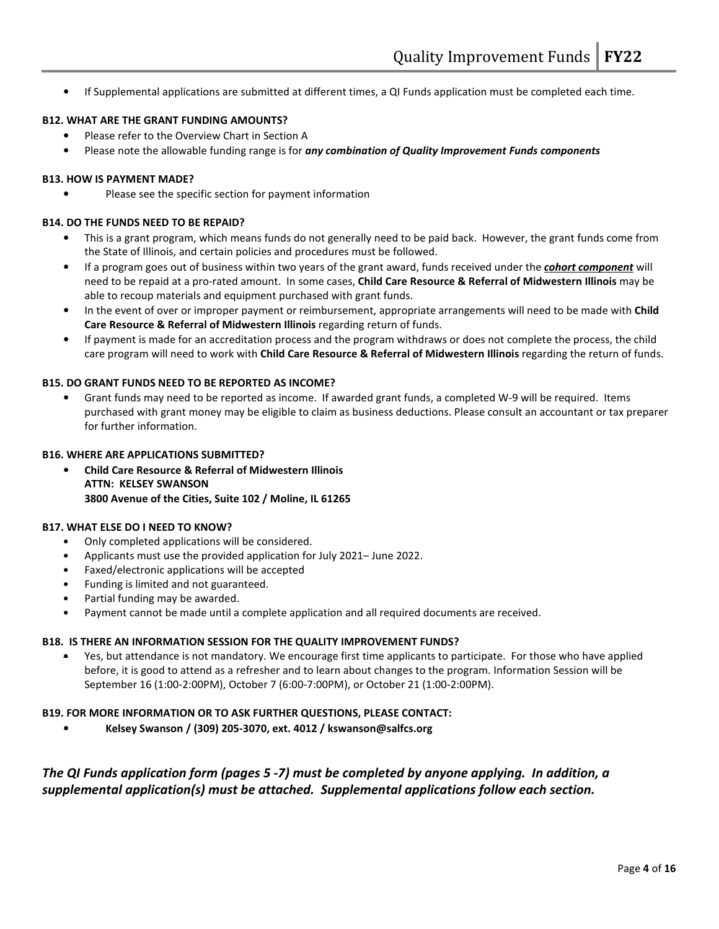• If Supplemental applications are submitted at different times, a QI Funds application must be completed each time.

#### B12. WHAT ARE THE GRANT FUNDING AMOUNTS?

- Please refer to the Overview Chart in Section A
- Please note the allowable funding range is for any combination of Quality Improvement Funds components

#### B13. HOW IS PAYMENT MADE?

• Please see the specific section for payment information

#### B14. DO THE FUNDS NEED TO BE REPAID?

- This is a grant program, which means funds do not generally need to be paid back. However, the grant funds come from the State of Illinois, and certain policies and procedures must be followed.
- If a program goes out of business within two years of the grant award, funds received under the *cohort component* will need to be repaid at a pro-rated amount. In some cases, Child Care Resource & Referral of Midwestern Illinois may be able to recoup materials and equipment purchased with grant funds.
- In the event of over or improper payment or reimbursement, appropriate arrangements will need to be made with Child Care Resource & Referral of Midwestern Illinois regarding return of funds.
- If payment is made for an accreditation process and the program withdraws or does not complete the process, the child care program will need to work with Child Care Resource & Referral of Midwestern Illinois regarding the return of funds.

#### B15. DO GRANT FUNDS NEED TO BE REPORTED AS INCOME?

• Grant funds may need to be reported as income. If awarded grant funds, a completed W-9 will be required. Items purchased with grant money may be eligible to claim as business deductions. Please consult an accountant or tax preparer for further information.

#### B16. WHERE ARE APPLICATIONS SUBMITTED?

• Child Care Resource & Referral of Midwestern Illinois ATTN: KELSEY SWANSON 3800 Avenue of the Cities, Suite 102 / Moline, IL 61265

#### B17. WHAT ELSE DO I NEED TO KNOW?

- Only completed applications will be considered.
- Applicants must use the provided application for July 2021– June 2022.
- Faxed/electronic applications will be accepted
- Funding is limited and not guaranteed.
- Partial funding may be awarded.
- Payment cannot be made until a complete application and all required documents are received.

#### B18. IS THERE AN INFORMATION SESSION FOR THE QUALITY IMPROVEMENT FUNDS?

• Yes, but attendance is not mandatory. We encourage first time applicants to participate. For those who have applied before, it is good to attend as a refresher and to learn about changes to the program. Information Session will be September 16 (1:00-2:00PM), October 7 (6:00-7:00PM), or October 21 (1:00-2:00PM).

#### B19. FOR MORE INFORMATION OR TO ASK FURTHER QUESTIONS, PLEASE CONTACT:

• Kelsey Swanson / (309) 205-3070, ext. 4012 / kswanson@salfcs.org

## The QI Funds application form (pages 5 -7) must be completed by anyone applying. In addition, a supplemental application(s) must be attached. Supplemental applications follow each section.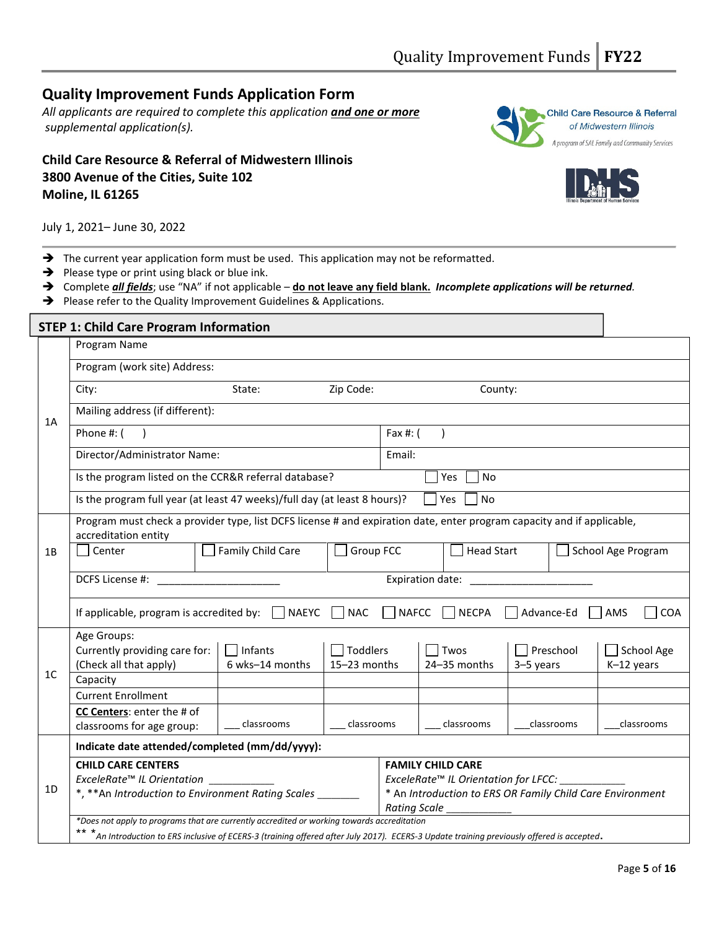## Quality Improvement Funds Application Form

All applicants are required to complete this application and one or more supplemental application(s).

## Child Care Resource & Referral of Midwestern Illinois 3800 Avenue of the Cities, Suite 102 Moline, IL 61265





July 1, 2021– June 30, 2022

- $\rightarrow$  The current year application form must be used. This application may not be reformatted.
- $\rightarrow$  Please type or print using black or blue ink.
- → Complete *all fields;* use "NA" if not applicable do not leave any field blank. Incomplete applications will be returned.
- $\rightarrow$  Please refer to the Quality Improvement Guidelines & Applications.

|                | <b>STEP 1: Child Care Program Information</b>                                                                                                  |                   |                                   |                          |                                      |                                                           |                    |  |  |
|----------------|------------------------------------------------------------------------------------------------------------------------------------------------|-------------------|-----------------------------------|--------------------------|--------------------------------------|-----------------------------------------------------------|--------------------|--|--|
|                | Program Name                                                                                                                                   |                   |                                   |                          |                                      |                                                           |                    |  |  |
|                | Program (work site) Address:                                                                                                                   |                   |                                   |                          |                                      |                                                           |                    |  |  |
|                | City:                                                                                                                                          | State:            | Zip Code:                         |                          | County:                              |                                                           |                    |  |  |
| 1A             | Mailing address (if different):                                                                                                                |                   |                                   |                          |                                      |                                                           |                    |  |  |
|                | Phone #: (<br>Fax #: (                                                                                                                         |                   |                                   |                          |                                      |                                                           |                    |  |  |
|                | Director/Administrator Name:                                                                                                                   |                   |                                   | Email:                   |                                      |                                                           |                    |  |  |
|                | Is the program listed on the CCR&R referral database?                                                                                          |                   |                                   |                          | Yes<br>No                            |                                                           |                    |  |  |
|                | Is the program full year (at least 47 weeks)/full day (at least 8 hours)?                                                                      |                   |                                   |                          | Yes<br><b>No</b>                     |                                                           |                    |  |  |
|                | Program must check a provider type, list DCFS license # and expiration date, enter program capacity and if applicable,<br>accreditation entity |                   |                                   |                          |                                      |                                                           |                    |  |  |
| 1B             | Center                                                                                                                                         | Family Child Care | Group FCC                         |                          | <b>Head Start</b>                    |                                                           | School Age Program |  |  |
|                | DCFS License #:<br>Expiration date: ____________                                                                                               |                   |                                   |                          |                                      |                                                           |                    |  |  |
|                | If applicable, program is accredited by: $\Box$ NAEYC                                                                                          |                   | $\neg$ NAC                        | $\Box$ NAFCC             | <b>NECPA</b>                         | Advance-Ed                                                | AMS<br><b>COA</b>  |  |  |
|                | Age Groups:                                                                                                                                    |                   |                                   |                          |                                      |                                                           |                    |  |  |
|                | Currently providing care for:                                                                                                                  | $\Box$ Infants    | $\overline{\phantom{a}}$ Toddlers |                          | Twos                                 | Preschool                                                 | School Age         |  |  |
| 1 <sup>C</sup> | (Check all that apply)                                                                                                                         | 6 wks-14 months   | 15-23 months                      |                          | 24-35 months                         | 3-5 years                                                 | K-12 years         |  |  |
|                | Capacity                                                                                                                                       |                   |                                   |                          |                                      |                                                           |                    |  |  |
|                | <b>Current Enrollment</b>                                                                                                                      |                   |                                   |                          |                                      |                                                           |                    |  |  |
|                | CC Centers: enter the # of                                                                                                                     |                   |                                   |                          |                                      |                                                           |                    |  |  |
|                | classrooms for age group:                                                                                                                      | classrooms        | classrooms                        |                          | classrooms                           | classrooms                                                | classrooms         |  |  |
|                | Indicate date attended/completed (mm/dd/yyyy):                                                                                                 |                   |                                   |                          |                                      |                                                           |                    |  |  |
|                | <b>CHILD CARE CENTERS</b>                                                                                                                      |                   |                                   | <b>FAMILY CHILD CARE</b> |                                      |                                                           |                    |  |  |
|                | ExceleRate <sup>™</sup> IL Orientation ______________                                                                                          |                   |                                   |                          | ExceleRate™ IL Orientation for LFCC: |                                                           |                    |  |  |
| 1D             | *, ** An Introduction to Environment Rating Scales ____                                                                                        |                   |                                   |                          |                                      | * An Introduction to ERS OR Family Child Care Environment |                    |  |  |
|                |                                                                                                                                                |                   |                                   | Rating Scale             |                                      |                                                           |                    |  |  |
|                | *Does not apply to programs that are currently accredited or working towards accreditation                                                     |                   |                                   |                          |                                      |                                                           |                    |  |  |
|                | ** *An Introduction to ERS inclusive of ECERS-3 (training offered after July 2017). ECERS-3 Update training previously offered is accepted.    |                   |                                   |                          |                                      |                                                           |                    |  |  |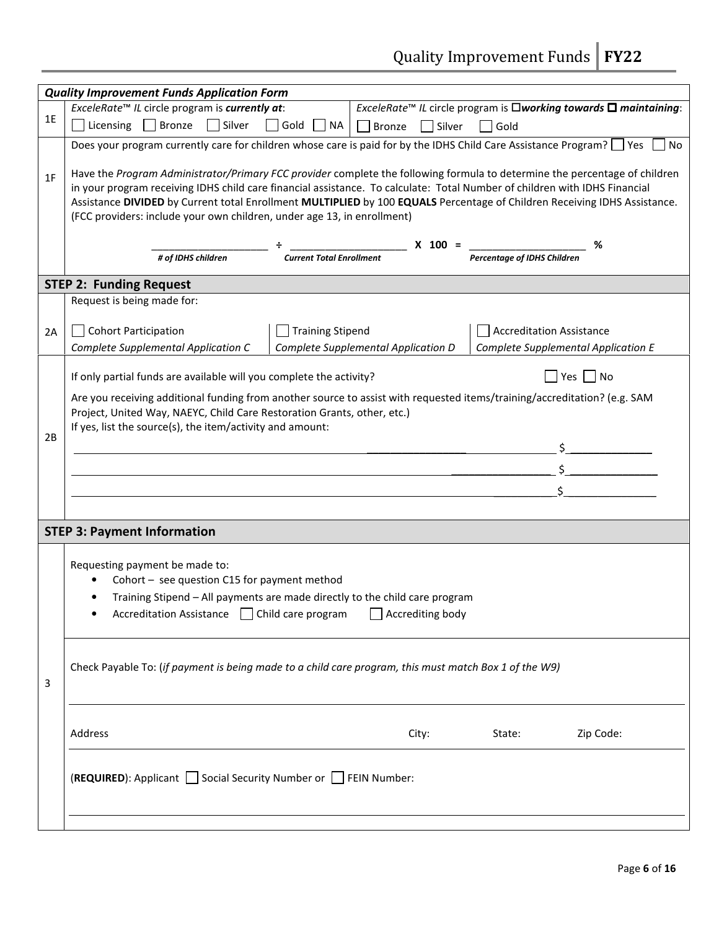Quality Improvement Funds | FY22

|    | <b>Quality Improvement Funds Application Form</b>                                                                                                                                                                                                                                                                                                                                                                                                                |               |                  |                                    |                                                                                                              |  |  |  |  |
|----|------------------------------------------------------------------------------------------------------------------------------------------------------------------------------------------------------------------------------------------------------------------------------------------------------------------------------------------------------------------------------------------------------------------------------------------------------------------|---------------|------------------|------------------------------------|--------------------------------------------------------------------------------------------------------------|--|--|--|--|
|    | ExceleRate <sup>™</sup> IL circle program is currently at:                                                                                                                                                                                                                                                                                                                                                                                                       |               |                  |                                    | <i>ExceleRate<sup>™</sup> IL</i> circle program is $\Box$ <i>working towards</i> $\Box$ <i>maintaining</i> : |  |  |  |  |
| 1E | Licensing $\Box$ Bronze<br>$\Box$ Silver<br>$\Box$ Gold<br><b>NA</b>                                                                                                                                                                                                                                                                                                                                                                                             | <b>Bronze</b> | $\sqcap$ Silver  | Gold                               |                                                                                                              |  |  |  |  |
|    | Does your program currently care for children whose care is paid for by the IDHS Child Care Assistance Program? ■ Yes                                                                                                                                                                                                                                                                                                                                            |               |                  |                                    | <b>No</b>                                                                                                    |  |  |  |  |
| 1F | Have the Program Administrator/Primary FCC provider complete the following formula to determine the percentage of children<br>in your program receiving IDHS child care financial assistance. To calculate: Total Number of children with IDHS Financial<br>Assistance DIVIDED by Current total Enrollment MULTIPLIED by 100 EQUALS Percentage of Children Receiving IDHS Assistance.<br>(FCC providers: include your own children, under age 13, in enrollment) |               |                  |                                    |                                                                                                              |  |  |  |  |
|    | <b>Current Total Enrollment</b><br># of IDHS children                                                                                                                                                                                                                                                                                                                                                                                                            | $X = 100 =$   |                  | <b>Percentage of IDHS Children</b> | ℅                                                                                                            |  |  |  |  |
|    | <b>STEP 2: Funding Request</b>                                                                                                                                                                                                                                                                                                                                                                                                                                   |               |                  |                                    |                                                                                                              |  |  |  |  |
|    | Request is being made for:                                                                                                                                                                                                                                                                                                                                                                                                                                       |               |                  |                                    |                                                                                                              |  |  |  |  |
| 2A | <b>Cohort Participation</b><br><b>Training Stipend</b><br>Complete Supplemental Application C<br>Complete Supplemental Application D                                                                                                                                                                                                                                                                                                                             |               |                  |                                    | Accreditation Assistance<br>Complete Supplemental Application E                                              |  |  |  |  |
|    | If only partial funds are available will you complete the activity?                                                                                                                                                                                                                                                                                                                                                                                              |               |                  |                                    | Yes $\n $ No                                                                                                 |  |  |  |  |
| 2B | Are you receiving additional funding from another source to assist with requested items/training/accreditation? (e.g. SAM<br>Project, United Way, NAEYC, Child Care Restoration Grants, other, etc.)<br>If yes, list the source(s), the item/activity and amount:                                                                                                                                                                                                |               |                  |                                    |                                                                                                              |  |  |  |  |
|    | <b>STEP 3: Payment Information</b>                                                                                                                                                                                                                                                                                                                                                                                                                               |               |                  |                                    |                                                                                                              |  |  |  |  |
|    | Requesting payment be made to:<br>Cohort - see question C15 for payment method<br>Training Stipend - All payments are made directly to the child care program<br><b>Accreditation Assistance</b><br>Child care program<br>Check Payable To: (if payment is being made to a child care program, this must match Box 1 of the W9)                                                                                                                                  |               | Accrediting body |                                    |                                                                                                              |  |  |  |  |
| 3  |                                                                                                                                                                                                                                                                                                                                                                                                                                                                  |               |                  |                                    |                                                                                                              |  |  |  |  |
|    | Address                                                                                                                                                                                                                                                                                                                                                                                                                                                          |               | City:            | State:                             | Zip Code:                                                                                                    |  |  |  |  |
|    | (REQUIRED): Applicant □ Social Security Number or □ FEIN Number:                                                                                                                                                                                                                                                                                                                                                                                                 |               |                  |                                    |                                                                                                              |  |  |  |  |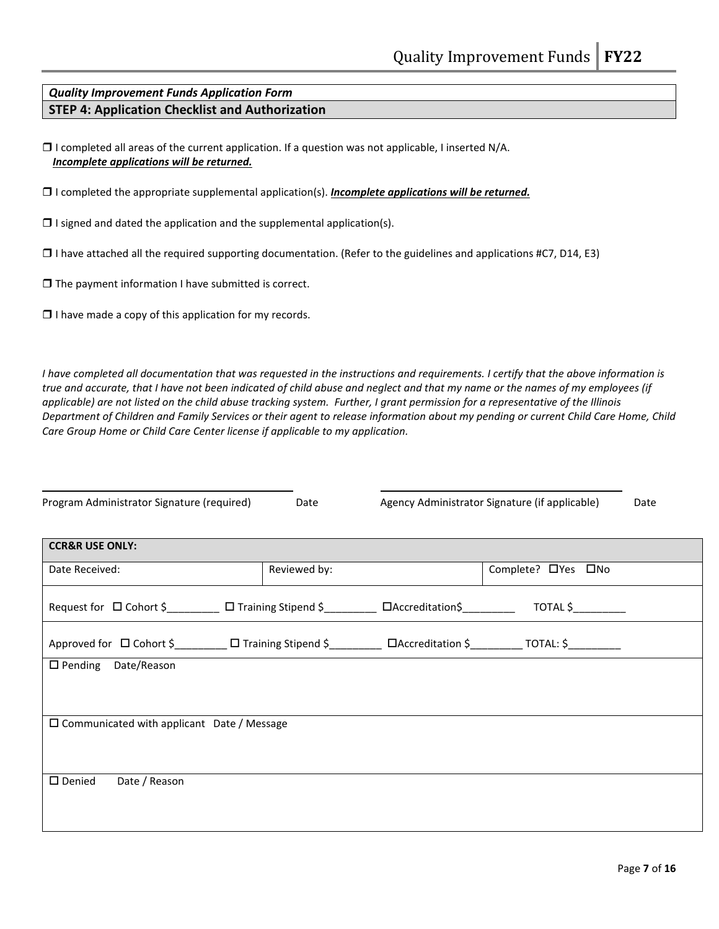### Quality Improvement Funds Application Form STEP 4: Application Checklist and Authorization

 $\Box$  I completed all areas of the current application. If a question was not applicable, I inserted N/A. Incomplete applications will be returned.

 $\Box$  I completed the appropriate supplemental application(s). Incomplete applications will be returned.

 $\Box$  I signed and dated the application and the supplemental application(s).

 $\Box$  I have attached all the required supporting documentation. (Refer to the guidelines and applications #C7, D14, E3)

 $\Box$  The payment information I have submitted is correct.

 $\Box$  I have made a copy of this application for my records.

I have completed all documentation that was requested in the instructions and requirements. I certify that the above information is true and accurate, that I have not been indicated of child abuse and neglect and that my name or the names of my employees (if applicable) are not listed on the child abuse tracking system. Further, I grant permission for a representative of the Illinois Department of Children and Family Services or their agent to release information about my pending or current Child Care Home, Child Care Group Home or Child Care Center license if applicable to my application.

| Program Administrator Signature (required)                                                                                       | Date         | Agency Administrator Signature (if applicable) | Date |
|----------------------------------------------------------------------------------------------------------------------------------|--------------|------------------------------------------------|------|
| <b>CCR&amp;R USE ONLY:</b>                                                                                                       |              |                                                |      |
| Date Received:                                                                                                                   | Reviewed by: | Complete? OYes ONo                             |      |
| Request for $\Box$ Cohort \$___________ $\Box$ Training Stipend \$__________ $\Box$ Accreditation\$__________ TOTAL \$__________ |              |                                                |      |
|                                                                                                                                  |              |                                                |      |
| □ Pending Date/Reason                                                                                                            |              |                                                |      |
|                                                                                                                                  |              |                                                |      |
| $\square$ Communicated with applicant Date / Message                                                                             |              |                                                |      |
|                                                                                                                                  |              |                                                |      |
| $\square$ Denied<br>Date / Reason                                                                                                |              |                                                |      |
|                                                                                                                                  |              |                                                |      |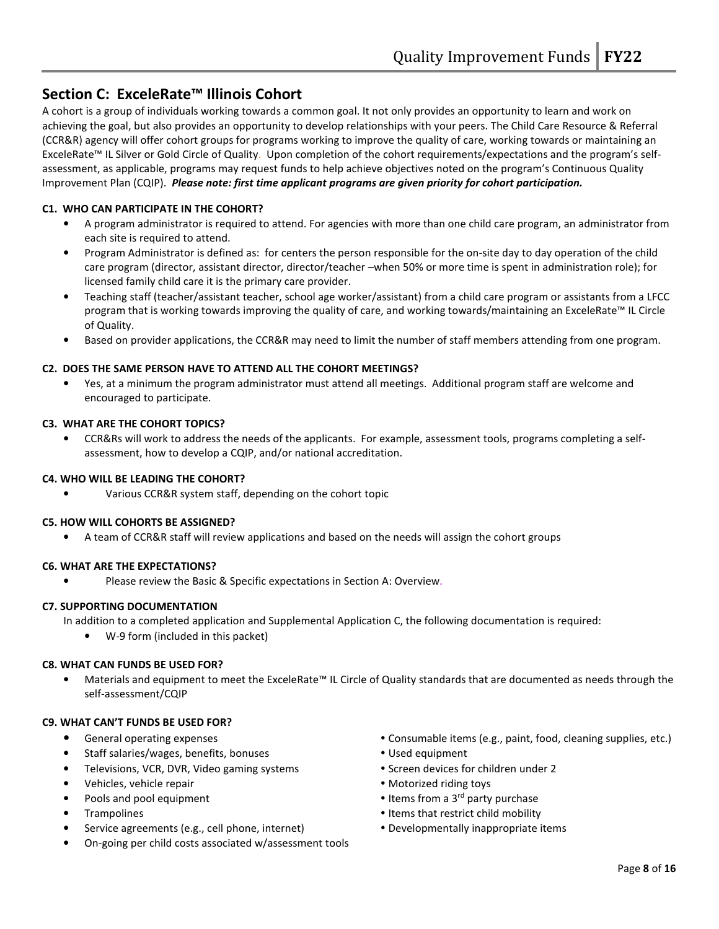## Section C: ExceleRate™ Illinois Cohort

A cohort is a group of individuals working towards a common goal. It not only provides an opportunity to learn and work on achieving the goal, but also provides an opportunity to develop relationships with your peers. The Child Care Resource & Referral (CCR&R) agency will offer cohort groups for programs working to improve the quality of care, working towards or maintaining an ExceleRate™ IL Silver or Gold Circle of Quality. Upon completion of the cohort requirements/expectations and the program's selfassessment, as applicable, programs may request funds to help achieve objectives noted on the program's Continuous Quality Improvement Plan (CQIP). Please note: first time applicant programs are given priority for cohort participation.

#### C1. WHO CAN PARTICIPATE IN THE COHORT?

- A program administrator is required to attend. For agencies with more than one child care program, an administrator from each site is required to attend.
- Program Administrator is defined as: for centers the person responsible for the on-site day to day operation of the child care program (director, assistant director, director/teacher –when 50% or more time is spent in administration role); for licensed family child care it is the primary care provider.
- Teaching staff (teacher/assistant teacher, school age worker/assistant) from a child care program or assistants from a LFCC program that is working towards improving the quality of care, and working towards/maintaining an ExceleRate™ IL Circle of Quality.
- Based on provider applications, the CCR&R may need to limit the number of staff members attending from one program.

#### C2. DOES THE SAME PERSON HAVE TO ATTEND ALL THE COHORT MEETINGS?

• Yes, at a minimum the program administrator must attend all meetings. Additional program staff are welcome and encouraged to participate.

#### C3. WHAT ARE THE COHORT TOPICS?

• CCR&Rs will work to address the needs of the applicants. For example, assessment tools, programs completing a selfassessment, how to develop a CQIP, and/or national accreditation.

#### C4. WHO WILL BE LEADING THE COHORT?

• Various CCR&R system staff, depending on the cohort topic

#### C5. HOW WILL COHORTS BE ASSIGNED?

• A team of CCR&R staff will review applications and based on the needs will assign the cohort groups

#### C6. WHAT ARE THE EXPECTATIONS?

• Please review the Basic & Specific expectations in Section A: Overview.

#### C7. SUPPORTING DOCUMENTATION

In addition to a completed application and Supplemental Application C, the following documentation is required:

• W-9 form (included in this packet)

#### C8. WHAT CAN FUNDS BE USED FOR?

• Materials and equipment to meet the ExceleRate™ IL Circle of Quality standards that are documented as needs through the self-assessment/CQIP

#### C9. WHAT CAN'T FUNDS BE USED FOR?

- 
- Staff salaries/wages, benefits, bonuses **Canadian Control of the Used equipment**
- Televisions, VCR, DVR, Video gaming systems **Screen devices for children under 2** Screen devices for children under 2
- Vehicles, vehicle repair **Motorized riding toys Motorized riding toys**
- 
- 
- Service agreements (e.g., cell phone, internet) Developmentally inappropriate items
- On-going per child costs associated w/assessment tools
- General operating expenses  $\bullet$  Consumable items (e.g., paint, food, cleaning supplies, etc.)
	-
	-
	-
- **Pools and pool equipment**  Items from a 3<sup>rd</sup> party purchase
- Trampolines **Items** that restrict child mobility
	-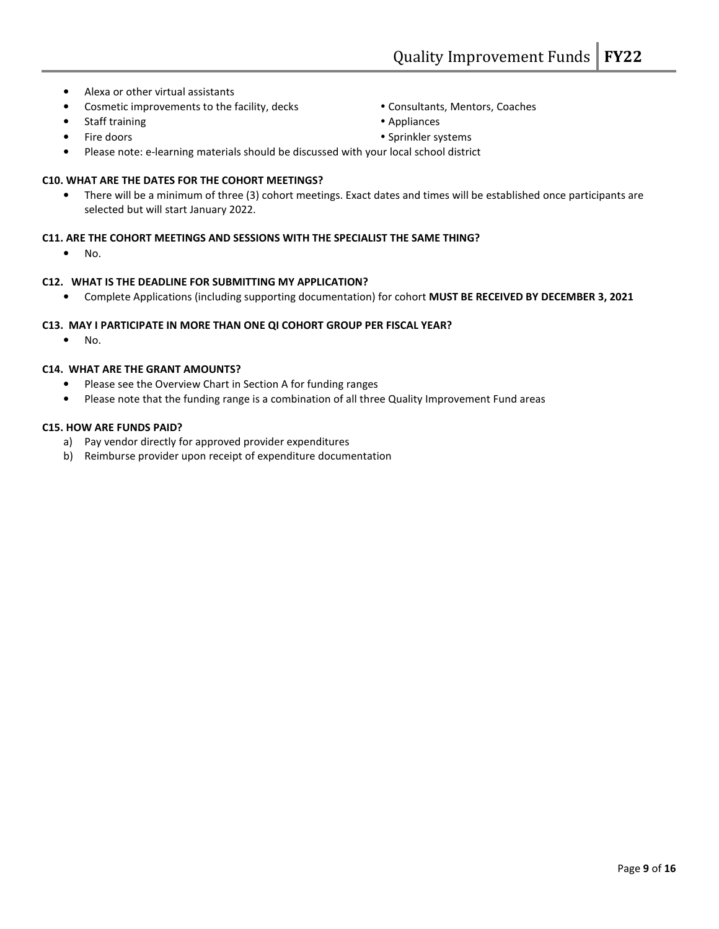- Alexa or other virtual assistants
- Cosmetic improvements to the facility, decks **Consultants**, Mentors, Coaches
- Staff training **Appliances CO**
- 
- Please note: e-learning materials should be discussed with your local school district

#### C10. WHAT ARE THE DATES FOR THE COHORT MEETINGS?

• There will be a minimum of three (3) cohort meetings. Exact dates and times will be established once participants are selected but will start January 2022.

#### C11. ARE THE COHORT MEETINGS AND SESSIONS WITH THE SPECIALIST THE SAME THING?

• No.

#### C12. WHAT IS THE DEADLINE FOR SUBMITTING MY APPLICATION?

• Complete Applications (including supporting documentation) for cohort MUST BE RECEIVED BY DECEMBER 3, 2021

#### C13. MAY I PARTICIPATE IN MORE THAN ONE QI COHORT GROUP PER FISCAL YEAR?

• No.

#### C14. WHAT ARE THE GRANT AMOUNTS?

- Please see the Overview Chart in Section A for funding ranges
- Please note that the funding range is a combination of all three Quality Improvement Fund areas

#### C15. HOW ARE FUNDS PAID?

- a) Pay vendor directly for approved provider expenditures
- b) Reimburse provider upon receipt of expenditure documentation
- 
- 
- Fire doors **Sprinkler systems Sprinkler systems**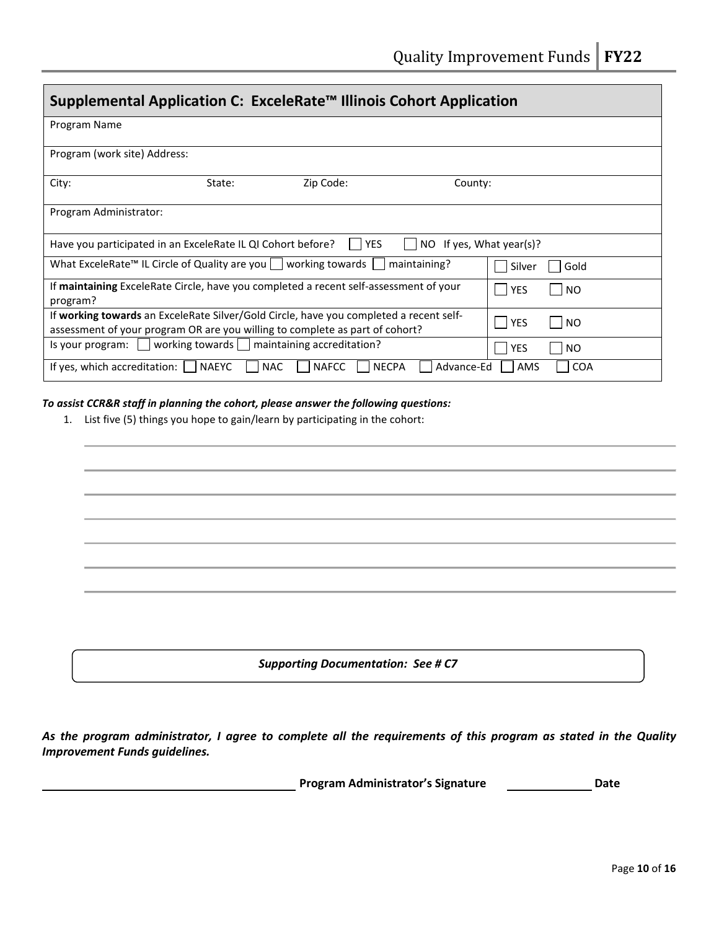| Supplemental Application C: ExceleRate™ Illinois Cohort Application                                                                                                    |              |                                                |                          |            |                |  |  |
|------------------------------------------------------------------------------------------------------------------------------------------------------------------------|--------------|------------------------------------------------|--------------------------|------------|----------------|--|--|
| Program Name                                                                                                                                                           |              |                                                |                          |            |                |  |  |
| Program (work site) Address:                                                                                                                                           |              |                                                |                          |            |                |  |  |
| City:                                                                                                                                                                  | State:       | Zip Code:                                      | County:                  |            |                |  |  |
| Program Administrator:                                                                                                                                                 |              |                                                |                          |            |                |  |  |
| Have you participated in an ExceleRate IL QI Cohort before?                                                                                                            |              | I IYES                                         | NO If yes, What year(s)? |            |                |  |  |
| What ExceleRate <sup>™</sup> IL Circle of Quality are you $ $ $ $ working towards $ $<br>maintaining?<br>Gold<br>Silver                                                |              |                                                |                          |            |                |  |  |
| If maintaining ExceleRate Circle, have you completed a recent self-assessment of your<br>program?                                                                      | <b>YES</b>   | N <sub>O</sub>                                 |                          |            |                |  |  |
| If working towards an ExceleRate Silver/Gold Circle, have you completed a recent self-<br>assessment of your program OR are you willing to complete as part of cohort? | YES          | N <sub>O</sub>                                 |                          |            |                |  |  |
| $\frac{1}{2}$ is your program: $\frac{1}{2}$                                                                                                                           |              | working towards     maintaining accreditation? |                          | <b>YES</b> | N <sub>O</sub> |  |  |
| If yes, which accreditation: [                                                                                                                                         | <b>NAEYC</b> | <b>NECPA</b><br><b>NAC</b><br><b>NAFCC</b>     | Advance-Ed               | AMS        | <b>COA</b>     |  |  |

#### To assist CCR&R staff in planning the cohort, please answer the following questions:

1. List five (5) things you hope to gain/learn by participating in the cohort:

Supporting Documentation: See # C7

As the program administrator, I agree to complete all the requirements of this program as stated in the Quality Improvement Funds guidelines.

Program Administrator's Signature **Date** Date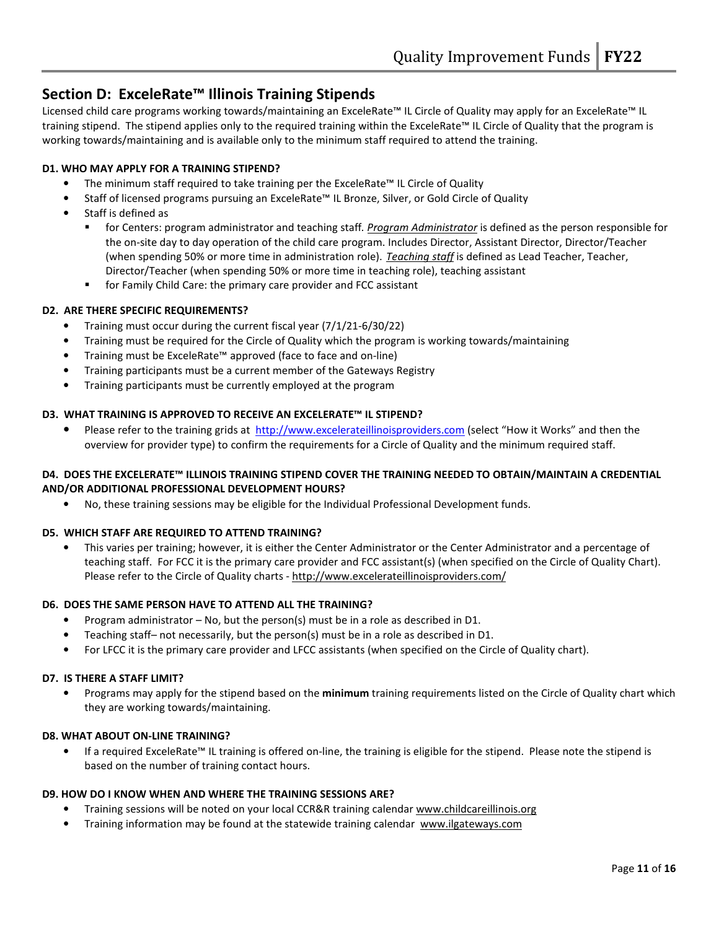## Section D: ExceleRate™ Illinois Training Stipends

Licensed child care programs working towards/maintaining an ExceleRate™ IL Circle of Quality may apply for an ExceleRate™ IL training stipend. The stipend applies only to the required training within the ExceleRate™ IL Circle of Quality that the program is working towards/maintaining and is available only to the minimum staff required to attend the training.

#### D1. WHO MAY APPLY FOR A TRAINING STIPEND?

- The minimum staff required to take training per the ExceleRate™ IL Circle of Quality
- Staff of licensed programs pursuing an ExceleRate™ IL Bronze, Silver, or Gold Circle of Quality
- Staff is defined as
	- for Centers: program administrator and teaching staff. Program Administrator is defined as the person responsible for the on-site day to day operation of the child care program. Includes Director, Assistant Director, Director/Teacher (when spending 50% or more time in administration role). Teaching staff is defined as Lead Teacher, Teacher, Director/Teacher (when spending 50% or more time in teaching role), teaching assistant
	- for Family Child Care: the primary care provider and FCC assistant

#### D2. ARE THERE SPECIFIC REQUIREMENTS?

- Training must occur during the current fiscal year (7/1/21-6/30/22)
- Training must be required for the Circle of Quality which the program is working towards/maintaining
- Training must be ExceleRate™ approved (face to face and on-line)
- Training participants must be a current member of the Gateways Registry
- Training participants must be currently employed at the program

#### D3. WHAT TRAINING IS APPROVED TO RECEIVE AN EXCELERATE™ IL STIPEND?

• Please refer to the training grids at http://www.excelerateillinoisproviders.com (select "How it Works" and then the overview for provider type) to confirm the requirements for a Circle of Quality and the minimum required staff.

#### D4. DOES THE EXCELERATE™ ILLINOIS TRAINING STIPEND COVER THE TRAINING NEEDED TO OBTAIN/MAINTAIN A CREDENTIAL AND/OR ADDITIONAL PROFESSIONAL DEVELOPMENT HOURS?

• No, these training sessions may be eligible for the Individual Professional Development funds.

#### D5. WHICH STAFF ARE REQUIRED TO ATTEND TRAINING?

• This varies per training; however, it is either the Center Administrator or the Center Administrator and a percentage of teaching staff. For FCC it is the primary care provider and FCC assistant(s) (when specified on the Circle of Quality Chart). Please refer to the Circle of Quality charts - http://www.excelerateillinoisproviders.com/

#### D6. DOES THE SAME PERSON HAVE TO ATTEND ALL THE TRAINING?

- Program administrator No, but the person(s) must be in a role as described in D1.
- Teaching staff– not necessarily, but the person(s) must be in a role as described in D1.
- For LFCC it is the primary care provider and LFCC assistants (when specified on the Circle of Quality chart).

#### D7. IS THERE A STAFF LIMIT?

Programs may apply for the stipend based on the minimum training requirements listed on the Circle of Quality chart which they are working towards/maintaining.

#### D8. WHAT ABOUT ON-LINE TRAINING?

• If a required ExceleRate™ IL training is offered on-line, the training is eligible for the stipend. Please note the stipend is based on the number of training contact hours.

#### D9. HOW DO I KNOW WHEN AND WHERE THE TRAINING SESSIONS ARE?

- Training sessions will be noted on your local CCR&R training calendar www.childcareillinois.org
- Training information may be found at the statewide training calendar www.ilgateways.com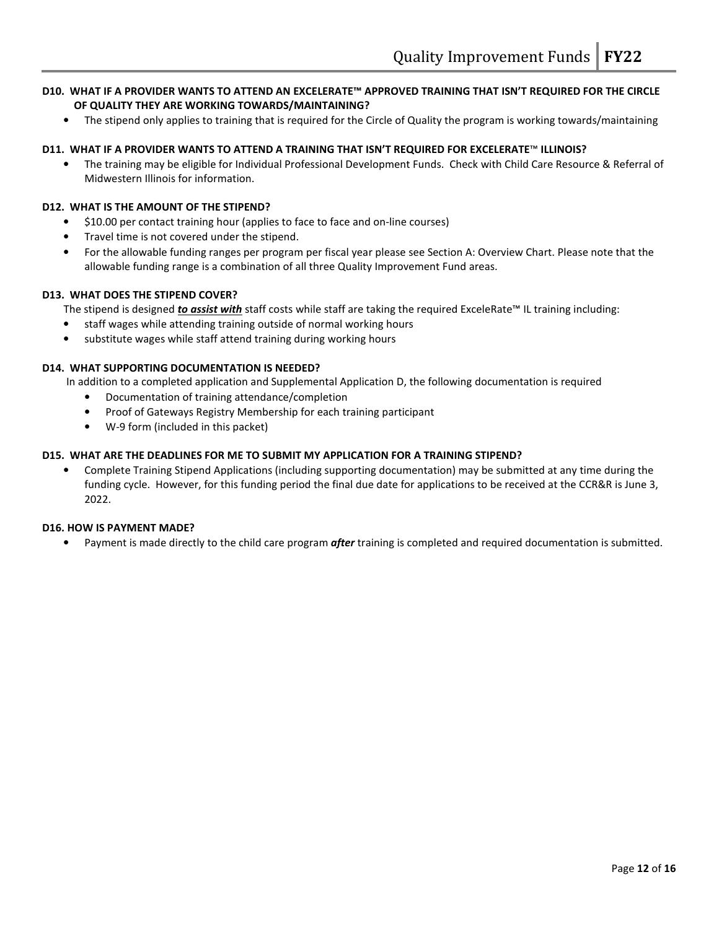#### D10. WHAT IF A PROVIDER WANTS TO ATTEND AN EXCELERATE™ APPROVED TRAINING THAT ISN'T REQUIRED FOR THE CIRCLE OF QUALITY THEY ARE WORKING TOWARDS/MAINTAINING?

• The stipend only applies to training that is required for the Circle of Quality the program is working towards/maintaining

#### D11. WHAT IF A PROVIDER WANTS TO ATTEND A TRAINING THAT ISN'T REQUIRED FOR EXCELERATE™ ILLINOIS?

• The training may be eligible for Individual Professional Development Funds. Check with Child Care Resource & Referral of Midwestern Illinois for information.

#### D12. WHAT IS THE AMOUNT OF THE STIPEND?

- \$10.00 per contact training hour (applies to face to face and on-line courses)
- Travel time is not covered under the stipend.
- For the allowable funding ranges per program per fiscal year please see Section A: Overview Chart. Please note that the allowable funding range is a combination of all three Quality Improvement Fund areas.

#### D13. WHAT DOES THE STIPEND COVER?

The stipend is designed *to assist with* staff costs while staff are taking the required ExceleRate<sup>™</sup> IL training including:

- staff wages while attending training outside of normal working hours
- substitute wages while staff attend training during working hours

#### D14. WHAT SUPPORTING DOCUMENTATION IS NEEDED?

In addition to a completed application and Supplemental Application D, the following documentation is required

- Documentation of training attendance/completion
- Proof of Gateways Registry Membership for each training participant
- W-9 form (included in this packet)

#### D15. WHAT ARE THE DEADLINES FOR ME TO SUBMIT MY APPLICATION FOR A TRAINING STIPEND?

• Complete Training Stipend Applications (including supporting documentation) may be submitted at any time during the funding cycle. However, for this funding period the final due date for applications to be received at the CCR&R is June 3, 2022.

#### D16. HOW IS PAYMENT MADE?

Payment is made directly to the child care program *after* training is completed and required documentation is submitted.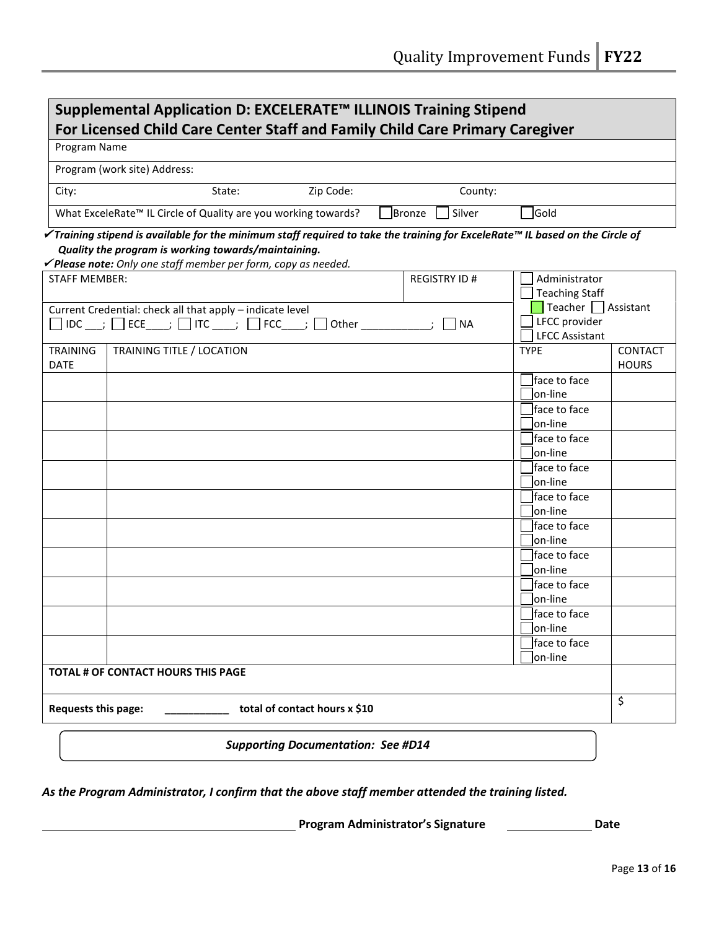| Supplemental Application D: EXCELERATE™ ILLINOIS Training Stipend<br>For Licensed Child Care Center Staff and Family Child Care Primary Caregiver |                                                                                                                                                                                                                                                                  |                                           |        |                     |                                                             |                         |  |
|---------------------------------------------------------------------------------------------------------------------------------------------------|------------------------------------------------------------------------------------------------------------------------------------------------------------------------------------------------------------------------------------------------------------------|-------------------------------------------|--------|---------------------|-------------------------------------------------------------|-------------------------|--|
| Program Name                                                                                                                                      |                                                                                                                                                                                                                                                                  |                                           |        |                     |                                                             |                         |  |
|                                                                                                                                                   | Program (work site) Address:                                                                                                                                                                                                                                     |                                           |        |                     |                                                             |                         |  |
| City:                                                                                                                                             | State:                                                                                                                                                                                                                                                           | Zip Code:                                 |        | County:             |                                                             |                         |  |
|                                                                                                                                                   | What ExceleRate™ IL Circle of Quality are you working towards?                                                                                                                                                                                                   |                                           | Bronze | Silver              | Gold                                                        |                         |  |
|                                                                                                                                                   | $\checkmark$ Training stipend is available for the minimum staff required to take the training for ExceleRate™ IL based on the Circle of<br>Quality the program is working towards/maintaining.<br>√Please note: Only one staff member per form, copy as needed. |                                           |        |                     |                                                             |                         |  |
| <b>STAFF MEMBER:</b>                                                                                                                              |                                                                                                                                                                                                                                                                  |                                           |        | <b>REGISTRY ID#</b> | Administrator<br><b>Teaching Staff</b>                      |                         |  |
|                                                                                                                                                   | Current Credential: check all that apply - indicate level<br>$\Box$ IDC ___; $\Box$ ECE____; $\Box$ ITC ____; $\Box$ FCC____; $\Box$ Other ____________;                                                                                                         |                                           |        | <b>NA</b>           | Teacher Assistant<br>LFCC provider<br><b>LFCC Assistant</b> |                         |  |
| <b>TRAINING</b><br><b>DATE</b>                                                                                                                    | TRAINING TITLE / LOCATION                                                                                                                                                                                                                                        |                                           |        |                     | <b>TYPE</b>                                                 | CONTACT<br><b>HOURS</b> |  |
|                                                                                                                                                   |                                                                                                                                                                                                                                                                  |                                           |        |                     | face to face<br>lon-line                                    |                         |  |
|                                                                                                                                                   |                                                                                                                                                                                                                                                                  |                                           |        |                     | face to face<br>lon-line                                    |                         |  |
|                                                                                                                                                   |                                                                                                                                                                                                                                                                  |                                           |        |                     | lface to face<br>lon-line                                   |                         |  |
|                                                                                                                                                   |                                                                                                                                                                                                                                                                  |                                           |        |                     | lface to face<br>lon-Iine                                   |                         |  |
|                                                                                                                                                   |                                                                                                                                                                                                                                                                  |                                           |        |                     | lface to face<br>lon-Iine                                   |                         |  |
|                                                                                                                                                   |                                                                                                                                                                                                                                                                  |                                           |        |                     | lface to face                                               |                         |  |
|                                                                                                                                                   |                                                                                                                                                                                                                                                                  |                                           |        |                     | on-line<br>face to face                                     |                         |  |
|                                                                                                                                                   |                                                                                                                                                                                                                                                                  |                                           |        |                     | lon-line<br>face to face                                    |                         |  |
|                                                                                                                                                   |                                                                                                                                                                                                                                                                  |                                           |        |                     | on-line                                                     |                         |  |
|                                                                                                                                                   |                                                                                                                                                                                                                                                                  |                                           |        |                     | face to face<br>on-line                                     |                         |  |
|                                                                                                                                                   |                                                                                                                                                                                                                                                                  |                                           |        |                     | face to face<br>on-line                                     |                         |  |
|                                                                                                                                                   | TOTAL # OF CONTACT HOURS THIS PAGE                                                                                                                                                                                                                               |                                           |        |                     |                                                             |                         |  |
| Requests this page:                                                                                                                               |                                                                                                                                                                                                                                                                  | total of contact hours x \$10             |        |                     |                                                             | \$                      |  |
|                                                                                                                                                   |                                                                                                                                                                                                                                                                  | <b>Supporting Documentation: See #D14</b> |        |                     |                                                             |                         |  |

As the Program Administrator, I confirm that the above staff member attended the training listed.

**EXECUTE:** Program Administrator's Signature **CONFING PROGRAM**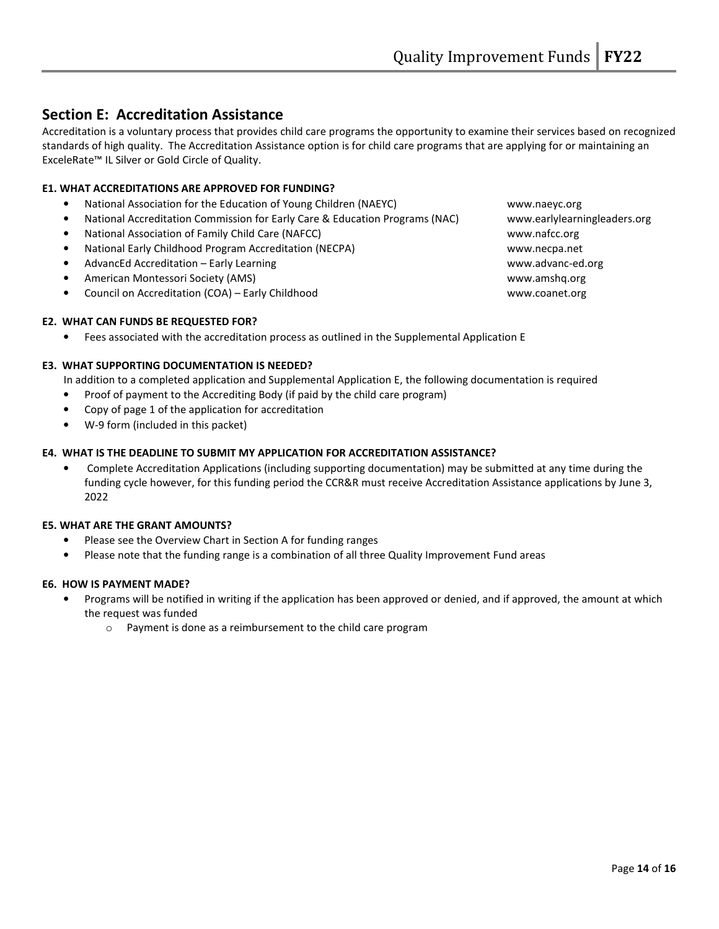## Section E: Accreditation Assistance

Accreditation is a voluntary process that provides child care programs the opportunity to examine their services based on recognized standards of high quality. The Accreditation Assistance option is for child care programs that are applying for or maintaining an ExceleRate™ IL Silver or Gold Circle of Quality.

#### E1. WHAT ACCREDITATIONS ARE APPROVED FOR FUNDING?

- National Association for the Education of Young Children (NAEYC) www.naeyc.org
- National Accreditation Commission for Early Care & Education Programs (NAC) www.earlylearningleaders.org
- National Association of Family Child Care (NAFCC) www.nafcc.org
- National Early Childhood Program Accreditation (NECPA) www.necpa.net
- AdvancEd Accreditation Early Learning www.advanc-ed.org
- American Montessori Society (AMS) www.amshq.org
- Council on Accreditation (COA) Early Childhood www.coanet.org

#### E2. WHAT CAN FUNDS BE REQUESTED FOR?

• Fees associated with the accreditation process as outlined in the Supplemental Application E

#### E3. WHAT SUPPORTING DOCUMENTATION IS NEEDED?

In addition to a completed application and Supplemental Application E, the following documentation is required

- Proof of payment to the Accrediting Body (if paid by the child care program)
- Copy of page 1 of the application for accreditation
- W-9 form (included in this packet)

#### E4. WHAT IS THE DEADLINE TO SUBMIT MY APPLICATION FOR ACCREDITATION ASSISTANCE?

• Complete Accreditation Applications (including supporting documentation) may be submitted at any time during the funding cycle however, for this funding period the CCR&R must receive Accreditation Assistance applications by June 3, 2022

#### E5. WHAT ARE THE GRANT AMOUNTS?

- Please see the Overview Chart in Section A for funding ranges
- Please note that the funding range is a combination of all three Quality Improvement Fund areas

#### E6. HOW IS PAYMENT MADE?

- Programs will be notified in writing if the application has been approved or denied, and if approved, the amount at which the request was funded
	- o Payment is done as a reimbursement to the child care program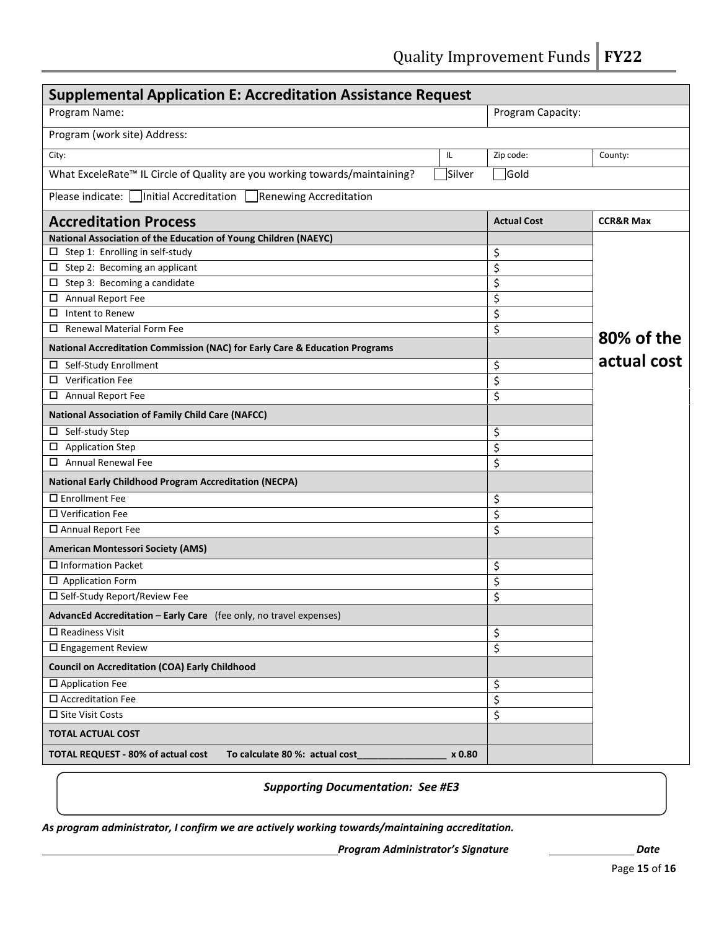Quality Improvement Funds | FY22

| <b>Supplemental Application E: Accreditation Assistance Request</b>                    |        |                    |                      |  |
|----------------------------------------------------------------------------------------|--------|--------------------|----------------------|--|
| Program Name:                                                                          |        | Program Capacity:  |                      |  |
| Program (work site) Address:                                                           |        |                    |                      |  |
| City:                                                                                  | IL     | Zip code:          | County:              |  |
| What ExceleRate <sup>™</sup> IL Circle of Quality are you working towards/maintaining? | Silver | Gold               |                      |  |
| Please indicate:   Initial Accreditation  <br>Renewing Accreditation                   |        |                    |                      |  |
| <b>Accreditation Process</b>                                                           |        | <b>Actual Cost</b> | <b>CCR&amp;R Max</b> |  |
| National Association of the Education of Young Children (NAEYC)                        |        |                    |                      |  |
| $\square$ Step 1: Enrolling in self-study                                              |        | \$                 |                      |  |
| $\Box$ Step 2: Becoming an applicant                                                   |        | \$                 |                      |  |
| $\Box$ Step 3: Becoming a candidate                                                    |        | \$                 |                      |  |
| Annual Report Fee<br>$\Box$                                                            |        | \$                 |                      |  |
| $\Box$ Intent to Renew                                                                 |        | \$                 |                      |  |
| <b>Renewal Material Form Fee</b>                                                       |        | \$                 | 80% of the           |  |
| National Accreditation Commission (NAC) for Early Care & Education Programs            |        |                    | actual cost          |  |
| Self-Study Enrollment<br>ப                                                             |        | \$                 |                      |  |
| $\square$ Verification Fee                                                             |        | \$                 |                      |  |
| □ Annual Report Fee                                                                    |        | \$                 |                      |  |
| <b>National Association of Family Child Care (NAFCC)</b>                               |        |                    |                      |  |
| □ Self-study Step                                                                      |        | \$                 |                      |  |
| $\square$ Application Step                                                             |        | \$                 |                      |  |
| $\Box$ Annual Renewal Fee                                                              |        | \$                 |                      |  |
| <b>National Early Childhood Program Accreditation (NECPA)</b>                          |        |                    |                      |  |
| $\square$ Enrollment Fee                                                               |        | \$                 |                      |  |
| □ Verification Fee                                                                     |        | \$                 |                      |  |
| □ Annual Report Fee                                                                    |        | \$                 |                      |  |
| <b>American Montessori Society (AMS)</b>                                               |        |                    |                      |  |
| $\Box$ Information Packet                                                              |        | \$                 |                      |  |
| $\Box$ Application Form                                                                |        | \$                 |                      |  |
| □ Self-Study Report/Review Fee                                                         |        | \$                 |                      |  |
| AdvancEd Accreditation - Early Care (fee only, no travel expenses)                     |        |                    |                      |  |
| $\square$ Readiness Visit                                                              |        | \$                 |                      |  |
| $\square$ Engagement Review                                                            |        | \$                 |                      |  |
| <b>Council on Accreditation (COA) Early Childhood</b>                                  |        |                    |                      |  |
| □ Application Fee                                                                      |        | \$                 |                      |  |
| $\square$ Accreditation Fee                                                            |        | \$                 |                      |  |
| □ Site Visit Costs                                                                     |        | \$                 |                      |  |
| <b>TOTAL ACTUAL COST</b>                                                               |        |                    |                      |  |
| <b>TOTAL REQUEST - 80% of actual cost</b><br>To calculate 80 %: actual cost            | x 0.80 |                    |                      |  |

#### Supporting Documentation: See #E3

As program administrator, I confirm we are actively working towards/maintaining accreditation.

Program Administrator's Signature <u>\_\_\_\_\_\_\_\_\_\_\_\_\_\_\_\_\_\_\_\_\_\_\_</u> Date